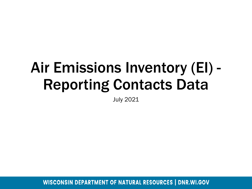## Air Emissions Inventory (EI) - Reporting Contacts Data

July 2021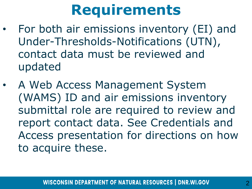## **Requirements**

- For both air emissions inventory (EI) and Under-Thresholds-Notifications (UTN), contact data must be reviewed and updated
- A Web Access Management System (WAMS) ID and air emissions inventory submittal role are required to review and report contact data. See Credentials and Access presentation for directions on how to acquire these.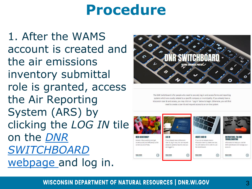### **Procedure**

1. After the WAMS account is created and the air emissions inventory submittal role is granted, access the Air Reporting System (ARS) by clicking the *LOG IN* tile on the *DNR [SWITCHBOARD](https://dnr.wisconsin.gov/topic/Switchboard)*  webpage and log in.



The DNR Switchboard is for people who need to securely log in and access forms and reporting systems which are usually related to a specific company or municipality. If you already have a Wisconsin User ID and access, you may click on "Log in" below to begin. Otherwise, you will first need to create a User ID and request access to an on-line system.

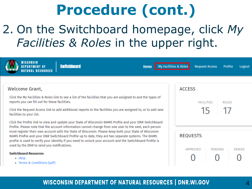### 2. On the Switchboard homepage, click *My*  Facilities & Roles in the upper right.

| VISCONSIN<br>My Facilities & Roles<br><b>Switchboard</b><br><b>Home</b>                                                                                                                                                                                                                                                                                                                                                                                                                                                                                                                                                                                            | <b>Request Access</b><br>Profile<br>Logout         |
|--------------------------------------------------------------------------------------------------------------------------------------------------------------------------------------------------------------------------------------------------------------------------------------------------------------------------------------------------------------------------------------------------------------------------------------------------------------------------------------------------------------------------------------------------------------------------------------------------------------------------------------------------------------------|----------------------------------------------------|
| Welcome Grant,<br>Click the My Facilities & Roles link to see a list of the facilities that you are assigned to and the types of<br>reports you can fill out for these facilities.<br>Click the Request Access link to add additional reports to the facilities you are assigned to, or to add new<br>facilities to your list.                                                                                                                                                                                                                                                                                                                                     | <b>ACCESS</b><br><b>FACILITIES</b><br><b>ROLES</b> |
| Click the Profile link to view and update your State of Wisconsin WAMS Profile and your DNR Switchboard<br>Profile. Please note that the account information cannot change from one user to the next, each person<br>must register their own account with the State of Wisconsin. Please keep both your State of Wisconsin<br>WAMS Profile and your DNR Switchboard Profile up to date, they are two separate systems. The WAMS<br>profile is used to verify your identity if you need to unlock your account and the Switchboard Profile is<br>used by the DNR to send you notifications.<br><b>Switchboard Resources</b><br>• Help<br>• Terms & Conditions (pdf) | <b>REQUESTS</b><br>APPROVED<br>PENDING<br>DENIED   |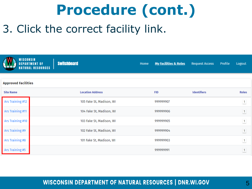### 3. Click the correct facility link.

| WISCONSIN                  | <b>DEPARTMENT OF</b><br><b>NATURAL RESOURCES  </b> | <b>Switchboard</b>       | Home | <b>My Facilities &amp; Roles</b> | <b>Request Access</b> | Profile | Logout         |
|----------------------------|----------------------------------------------------|--------------------------|------|----------------------------------|-----------------------|---------|----------------|
| <b>Approved Facilities</b> |                                                    |                          |      |                                  |                       |         |                |
| <b>Site Name</b>           |                                                    | <b>Location Address</b>  |      | <b>FID</b>                       | <b>Identifiers</b>    |         | <b>Roles</b>   |
| Ars Training #12           |                                                    | 105 Fake St, Madison, WI |      | 999999907                        |                       |         | $\boxed{1}$    |
| Ars Training #11           |                                                    | 104 Fake St, Madison, WI |      | 999999906                        |                       |         | $\boxed{1}$    |
| Ars Training #10           |                                                    | 103 Fake St, Madison, WI |      | 999999905                        |                       |         | $\boxed{1}$    |
| Ars Training #9            |                                                    | 102 Fake St, Madison, WI |      | 999999904                        |                       |         | $\overline{1}$ |
| Ars Training #8            |                                                    | 101 Fake St, Madison, WI |      | 999999903                        |                       |         | 1              |
| Ars Training #5            |                                                    |                          |      | 999999991                        |                       |         | $\vert$ 1      |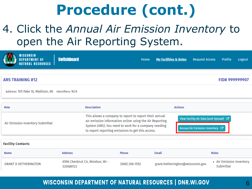### 4. Click the *Annual Air Emission Inventory* to open the Air Reporting System.

| WISCONSIN<br><b>DEPARTMENT OF</b><br><b>NATURAL RESOURCES</b> | <b>Switchboard</b> |                                                                                                                                                                                                                                | Home             |              | <b>My Facilities &amp; Roles</b> | <b>Request Access</b>                                                                                   | Profile                               | Logout |
|---------------------------------------------------------------|--------------------|--------------------------------------------------------------------------------------------------------------------------------------------------------------------------------------------------------------------------------|------------------|--------------|----------------------------------|---------------------------------------------------------------------------------------------------------|---------------------------------------|--------|
|                                                               |                    |                                                                                                                                                                                                                                |                  |              |                                  |                                                                                                         |                                       |        |
| <b>ARS TRAINING #12</b>                                       |                    |                                                                                                                                                                                                                                |                  |              |                                  |                                                                                                         | FID# 999999907                        |        |
| Address: 105 Fake St, Madison, WI Identifiers: N/A            |                    |                                                                                                                                                                                                                                |                  |              |                                  |                                                                                                         |                                       |        |
|                                                               |                    |                                                                                                                                                                                                                                |                  |              |                                  |                                                                                                         |                                       |        |
| Role                                                          |                    | <b>Description</b>                                                                                                                                                                                                             |                  |              | <b>Actions</b>                   |                                                                                                         |                                       |        |
| Air Emission Inventory Submittal                              |                    | This allows a company to report to report their annual<br>air emission information online using the Air Reporting<br>System (ARS). You need to work for a company needing<br>to report reporting emissions to get this access. |                  |              |                                  | View Facility Air Data (and Upload) <a><br/>Annual Air Emission Inventory <math>\mathbb{Z}^n</math></a> |                                       |        |
|                                                               |                    |                                                                                                                                                                                                                                |                  |              |                                  |                                                                                                         |                                       |        |
| <b>Facility Contacts</b>                                      |                    |                                                                                                                                                                                                                                |                  |              |                                  |                                                                                                         |                                       |        |
| <b>Name</b>                                                   | <b>Address</b>     |                                                                                                                                                                                                                                | <b>Phone</b>     | <b>Email</b> |                                  | <b>Roles</b>                                                                                            |                                       |        |
| <b>GRANT D HETHERINGTON</b>                                   | 535989723          | 6596 Chestnut Cir, Windsor, WI -                                                                                                                                                                                               | $(608)$ 266-1552 |              | grant.hetherington@wisconsin.gov |                                                                                                         | • Air Emission Inventory<br>Submittal |        |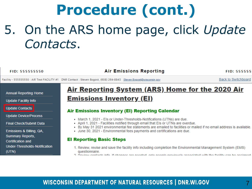## **Procedure (cont.)** 5. On the ARS home page, click *Update Contacts*.

FID: 555555550

**Air Emissions Reporting** 

**FID: 555555** 

**Back to Switchboard** 

Facility - 555555550 : AIR Test FACILITY #1 DNR Contact : Steven Bogost, (608) 264-8843 Steven.Bogost@wisconsin.gov

**Annual Reporting Home** 

**Update Facility Info** 

**Update Contacts** 

**Update Device/Process** 

**Final Check/Submit Data** 

Emissions & Billing, QA, Summary Reports, **Certification and Under-Thresholds-Notification**  $(UTN)$ 

### Air Reporting System (ARS) Home for the 2020 Air **Emissions Inventory (EI)**

#### **Air Emissions Inventory (EI) Reporting Calendar**

- . March 1, 2021 Els or Under-Thresholds-Notifications (UTNs) are due.
- April 1, 2021 Facilities notified through email that Els or UTNs are overdue.
- By May 31 2021 environmental fee statements are emailed to facilities or mailed if no email address is available.
- June 30, 2021 Environmental fees payments and certifications are due.

#### **El Reporting Basic Steps**

- 1. Review, revise and save the facility info including completion the Environmental Management System (EMS) questionnaire.
- 2. Deviaw contacts info. If changes are needed, only needed providually associated with the facility can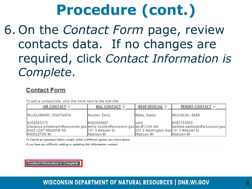6. On the *Contact Form* page, review contacts data. If no changes are required, click *Contact Information is Complete*.

### **Contact Form**

To edit a contact/role, click the circle next to the role title

| AIR CONTACT O                                                                                                      | <b>BILL CONTACT O</b>           | <b>RESP OFFICIAL</b> ©                         | <b>PERMIT CONTACT ©</b>                       |
|--------------------------------------------------------------------------------------------------------------------|---------------------------------|------------------------------------------------|-----------------------------------------------|
| PILLALAMARRI, CHAITANYA                                                                                            | Houtler, Emily                  | Matty, Randy                                   | PAVLISCAK, BARB                               |
| 9209683375<br>chaitanya.pillalamarri@wisconsin.gov emily.houtler@wisconsin.gov abc@1234.net<br>9409 LOST MEADOW RD | 6082646891<br>1101 S Webster St | Isdsd<br>201 E Washington Ave 101 S Webster St | 6082735603<br>barbara.pavliscak@wisconsin.gov |
| <b>MIDDLETON WI</b>                                                                                                | Madison WI                      | Madison WI                                     | <b>Madison WI</b>                             |

To Cancel an operation below, simply select a different option, anywhere above.

If you have any difficulty adding or updating this information, contact:

**Contact Information is Complete**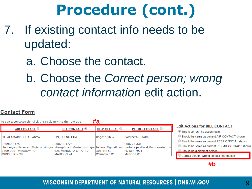- 7. If existing contact info needs to be updated:
	- a. Choose the contact.
	- b. Choose the *Correct person; wrong contact information* edit action.

#### **Contact Form**

| To edit a contact/role, click the circle next to the role title                                                   |                                             |                      |                        |                                                        |
|-------------------------------------------------------------------------------------------------------------------|---------------------------------------------|----------------------|------------------------|--------------------------------------------------------|
| AIR CONTACT <sup>O</sup>                                                                                          | <b>BILL CONTACT</b> <sup><sup>®</sup></sup> | <b>RESP OFFICIAL</b> | PERMIT CONTACT O       | <b>Edit Actions for BI</b><br>This is correct; no acti |
| PILLALAMARRI, CHAITANYA                                                                                           | LIN, SHENG-HUA                              | Bogost, Steve        | <b>PAVLISCAK, BARB</b> | $\bigcirc$ Should be same as cu                        |
| 9209683375                                                                                                        | 6082663725                                  |                      | 6082735603             | $\bigcirc$ Should be same as cu                        |
| chaitanya.pillalamarri@wisconsin.gov sheng-hua.lin@wisconsin.gov bemost@gmail.com barbara.pavliscak@wisconsin.gov |                                             |                      |                        | $\bigcirc$ Should be same as cu                        |
| 9409 LOST MEADOW RD                                                                                               | <b>625 MENDOTA CT APT 7</b>                 | 1301 4th St          | <b>PO Box 7921</b>     | $\bigcirc$ Should be a different in                    |
| <b>IMIDDLETON WI</b>                                                                                              | IMADISON WI                                 | lWaunakee WI         | Madison WI             | Correct person: wrond                                  |

#### **LL CONTACT**

- ion reg'd
- urrent AIR CONTACT shown
- **urrent RESP OFFICIAL shown**
- **urrent PERMIT CONTACT shown**
- erson
- g contact information

**#b**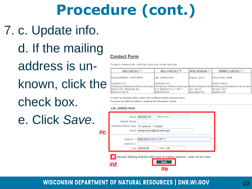### 7. c. Update info.

d. If the mailing address is unknown, click the check box.

e. Click *Save*.

#### **Contact Form**

To edit a contact/role, click the circle next to the role title

| AIR CONTACT O                                                                                                     | <b>BILL CONTACT</b> <sup><sup>®</sup></sup> | <b>RESP OFFICIAL</b> | <b>PERMIT CONTACT</b> O |
|-------------------------------------------------------------------------------------------------------------------|---------------------------------------------|----------------------|-------------------------|
| <b>PILLALAMARRI, CHAITANYA</b>                                                                                    | LIN. SHENG-HUA                              | Bogost, Steve        | <b>PAVLISCAK, BARB</b>  |
| 9209683375                                                                                                        | 6082663725                                  |                      | 6082735603              |
| chaitanya.pillalamarri@wisconsin.gov sheng-hua.lin@wisconsin.gov bemost@gmail.com barbara.pavliscak@wisconsin.gov |                                             |                      |                         |
| 9409 LOST MEADOW RD                                                                                               | 625 MENDOTA CT APT 7                        | 301 4th St           | <b>PO Box 7921</b>      |
| <b>MIDDLETON WI</b>                                                                                               | <b>IMADISON WI</b>                          | Waunakee WI          | <b>Madison WI</b>       |

To Cancel an operation below, simply select a different option, anywhere above. If you have any difficulty adding or updating this information, contact:

#### **LIN, SHENG-HUA**

| #c | Phone Ext:<br>Phone: 6082663725<br>Mobile Phone:<br>Preferred Phone Type: ⊙ LandLine ○ Mobile<br>Email: sheng-hua.lin@wisconsin.gov |
|----|-------------------------------------------------------------------------------------------------------------------------------------|
|    | Address 1: 999 MENDOTA CT APT 7<br>Address 2:<br>City: MADISON<br>* State: WI<br>ŵ                                                  |
|    | Jnknown Mailing Address (Not sure of mailing address - clear out for now)<br><b>Save</b><br>#d                                      |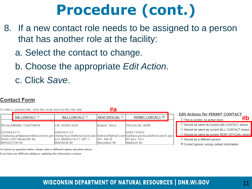- 8. If a new contact role needs to be assigned to a person that has another role at the facility:
	- a. Select the contact to change.
	- b. Choose the appropriate *Edit Action*.
	- c. Click *Save*.

### **Contact Form**

To edit a contact/role, click the circle next to the role title **#a Edit Actions for PERMIT CONTACT RESP OFFICIAL** AIR CONTACT O **BILL CONTACT** O **PERMIT CONTACT**<sup>®</sup> **#b** $\circlearrowright$  This is correct: no action reg'd Should be same as current AIR CONTACT shown PILLALAMARRI, CHAITANYA LIN. SHENG-HUA Bogost, Steve PAVLISCAK, BARB  $\circlearrowright$  Should be same as current BILL CONTACT shown 9209683375 6082663725 6082735603 Should be same as current RESP OFFICIAL shown |chaitanya.pillalamarri@wisconsin.gov|sheng-hua.lin@wisconsin.gov|bemost@gmail.com|barbara.pavliscak@wisconsin.gov 9409 LOST MEADOW RD 625 MENDOTA CT APT 7 301 4th St PO Box 7921  $\bigcirc$  Should be a different person **MIDDLETON WI MADISON WI** Waunakee WI **Madison WI** Correct person; wrong contact information

To Cancel an operation below, simply select a different option, anywhere above.

If you have any difficulty adding or updating this information, contact: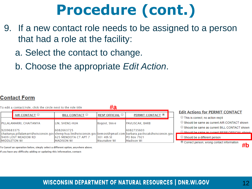- 9. If a new contact role needs to be assigned to a person that had a role at the facility:
	- a. Select the contact to change.
	- b. Choose the appropriate *Edit Action*.

### **Contact Form**



To Cancel an operation below, simply select a different option, anywhere above.

If you have any difficulty adding or updating this information, contact: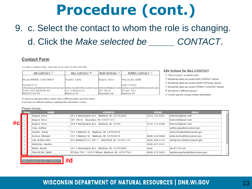### 9. c. Select the contact to whom the role is changing. d. Click the *Make selected be \_\_\_\_\_ CONTACT*.

#### **Contact Form**

To edit a contact/role, click the circle next to the role title

| AIR CONTACT O                                                                                                                             | <b>BILL CONTACT</b> <sup><sup>®</sup></sup> | <b>RESP OFFICIAL</b> $\bigcirc$ | <b>PERMIT CONTACT</b> O |
|-------------------------------------------------------------------------------------------------------------------------------------------|---------------------------------------------|---------------------------------|-------------------------|
| PILLALAMARRI, CHAITANYA                                                                                                                   | Houtler, Emily                              | Bogost, Steve                   | <b>PAVLISCAK, BARB</b>  |
| 9209683375                                                                                                                                |                                             |                                 | 6082735603              |
| chaitanya.pillalamarri@wisconsin.goy emily.houtler@wisconsin.goy bemost@gmail.com barbara.payliscak@wisconsin.goy <br>9409 LOST MEADOW RD | 1101 S Webster St                           | 301 4th St                      | <b>PO Box 7921</b>      |
| <b>IMIDDLETON WI</b>                                                                                                                      | lMadison WI                                 | Waunakee WI                     | Madison WI              |

To Cancel an operation below, simply select a different option, anywhere above.

If you have any difficulty adding or updating this information, contact:

|            | <b>Select</b><br><b>NAME</b> | <b>ADDRESS</b>                                 | <b>PHONE</b>     | <b>EMAIL</b>                    |
|------------|------------------------------|------------------------------------------------|------------------|---------------------------------|
| $\bigcirc$ | Bogost, Steve                | 201 E Washington Ave Madison WI 537032866      | $(555)$ 123-4567 | bemost@gmail.com                |
|            | Bogost, Steve                | 301 4th St Waunakee WI 535971315               |                  | bemost@gmail.com                |
| #cl        | Bogost, Steve                | 202 E Washington Ave Madison WI 53703          | $(555)$ 123-4568 | bemost@gmail.com                |
| $\bigcirc$ | <b>Gray, Ashley</b>          |                                                |                  | ashley.gray@wisconsin.gov       |
| $\bigcirc$ | Houtler, Emily               | 101 S Webster St Madison WI 537033474          |                  | emily.houtler@wisconsin.gov     |
| $\bigcirc$ | Kvitrud, Michael             | 101 S Webster St Madison WI 537033474          | (608) 222-6666   | mike.kvitrud@wisconsin.gov      |
| $\bigcirc$ | LIN, SHENG-HUA               | 625 MENDOTA CT APT 7 MADISON WI 537031135      | (608) 266-3725   | sheng-hua.lin@wisconsin.gov     |
| $\bigcirc$ | Makholm, Martha              |                                                | $(608)$ 267-4231 |                                 |
| $\bigcirc$ | Matty, Randy                 | 201 E Washington Ave Madison WI 537032866      | sdsd             | abc@1234.net                    |
| $\bigcirc$ | <b>PAVLISCAK, BARB</b>       | PO Box 7921 1019 S Wilson Madison WI 537077921 | $(608)$ 273-5603 | barbara.pavliscak@wisconsin.gov |

ake selected be BILL CONTACT

#### **Edit Actions for BILL CONTACT**

This is correct; no action req'd

○ Should be same as current AIR CONTACT shown

O Should be same as current RESP OFFICIAL shown

- O Should be same as current PERMIT CONTACT shown
- Should be a different person
- O Correct person; wrong contact information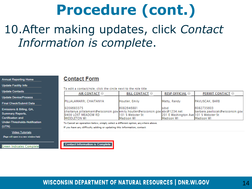### 10.After making updates, click *Contact Information is complete*.

|  | Annual Reporting Home |  |
|--|-----------------------|--|
|--|-----------------------|--|

**Update Facility Info** 

**Update Contacts** 

**Update Device/Process** 

**Final Check/Submit Data** 

Emissions & Billing, QA,

**Summary Reports,** 

**Certification and** 

(UTN)

**Under-Thresholds-Notification** 

**Video Tutorials** (Page will open in a new window/tab)

**Green Indicates Complete** 

#### **Contact Form**

To edit a contact/role, click the circle next to the role title

| AIR CONTACT O                                                                                                                               | <b>BILL CONTACT O</b>                          | <b>RESP OFFICIAL</b> O                                              | <b>PERMIT CONTACT O</b>                                            |
|---------------------------------------------------------------------------------------------------------------------------------------------|------------------------------------------------|---------------------------------------------------------------------|--------------------------------------------------------------------|
| PILLALAMARRI, CHAITANYA                                                                                                                     | Houtler, Emily                                 | Matty, Randy                                                        | <b>PAVLISCAK, BARB</b>                                             |
| 9209683375<br>chaitanya.pillalamarri@wisconsin.gov  emily.houtler@wisconsin.gov  abc@1234.net<br>9409 LOST MEADOW RD<br><b>MIDDLETON WI</b> | 6082646891<br>1101 S Webster St<br>IMadison WI | <b>Isdsd</b><br>201 E Washington Ave 101 S Webster St<br>Madison WI | 6082735603<br>barbara.pavliscak@wisconsin.gov<br><b>Madison WI</b> |

To Cancel an operation below, simply select a different option, anywhere above.

If you have any difficulty adding or updating this information, contact:

**Contact Information is Complete**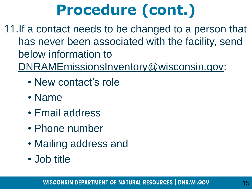11.If a contact needs to be changed to a person that has never been associated with the facility, send below information to

- [DNRAMEmissionsInventory@wisconsin.gov:](mailto:DNRAMEmissionsInventory@wisconsin.gov)
	- New contact's role
	- Name
	- Email address
	- Phone number
	- Mailing address and
	- Job title